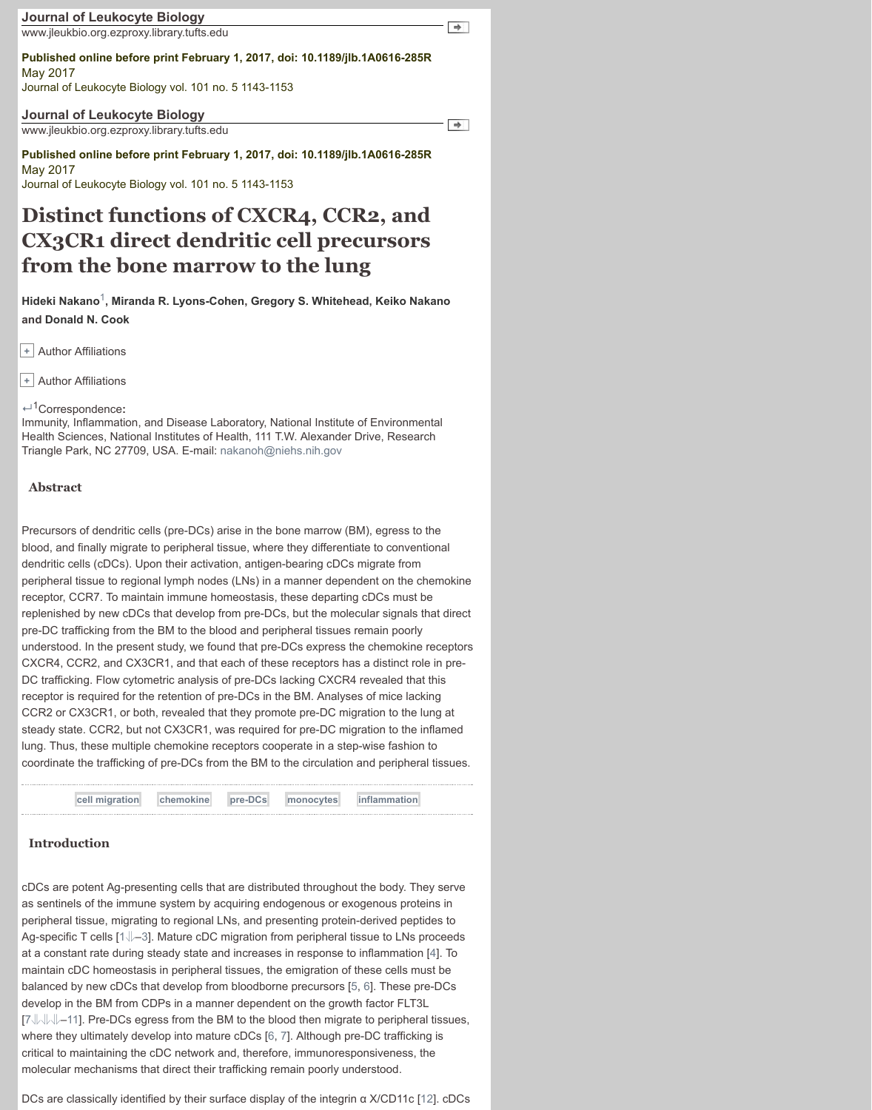Immunity, Inflammation, and Disease Laboratory, National Institute of Environmental Health Sciences, National Institutes of Health, 111 T.W. Alexander Drive, Research Triangle Park, NC 27709, USA. E-mail: nakanoh@niehs.nih.gov

#### **Abstract**

Precursors of dendritic cells (pre-DCs) arise in the bone marrow (BM), egress to the blood, and finally migrate to peripheral tissue, where they differentiate to conventiona[l](http://www.jleukbio.org.ezproxy.library.tufts.edu/content/101/5/1143.full#) dendritic cells (cDCs). Upon their activation, antigen-bearing cDCs migrate from peripheral tissue to regional lymph nodes (LNs) in a manner dependent on the chemokine receptor, CCR7. To maintain immune homeostasis, these departing cDCs must be replenished by new cDCs that develop from pre-DCs, but the molecular signals that direct pre-DC trafficking from the BM to the blood and peripheral tissues remain poorly understood. In the present study, we found that pre-DCs express the chemokine receptors CXCR4, CCR2, and CX3CR1, and that each of these receptors has a distinct role in pre-DC trafficking. Flow cytometric analysis of pre-DCs lacking CXCR4 revealed that this receptor is required for the retention of pre-DCs in the BM. Analyses of mice lacking [CCR2 or CX3C](http://www.jleukbio.org.ezproxy.library.tufts.edu/search?author1=Hideki+Nakano&sortspec=date&submit=Submit)[R](http://www.jleukbio.org.ezproxy.library.tufts.edu/content/101/5/1143.full#corresp-1)[1, or both, revealed that the](http://www.jleukbio.org.ezproxy.library.tufts.edu/search?author1=Miranda+R.+Lyons-Cohen&sortspec=date&submit=Submit)[y promote pre-DC migrat](http://www.jleukbio.org.ezproxy.library.tufts.edu/search?author1=Gregory+S.+Whitehead&sortspec=date&submit=Submit)i[on to the lung a](http://www.jleukbio.org.ezproxy.library.tufts.edu/search?author1=Keiko+Nakano&sortspec=date&submit=Submit)t steady state. CCR2, but not CX3CR1, was required for pre-DC migration to the inflamed lung[. Thus, these mul](http://www.jleukbio.org.ezproxy.library.tufts.edu/search?author1=Donald+N.+Cook&sortspec=date&submit=Submit)tiple chemokine receptors cooperate in a step-wise fashion to [coo](http://www.jleukbio.org.ezproxy.library.tufts.edu/content/101/5/1143.full#)rdinate the trafficking of pre-DCs from the BM to the circulation and peripheral tissues.



# **Introduction**

cDCs are potent Ag-presenting cells that are distributed throughout the body. They serve as sentinels of the immune system by acquiring endogenous or exogenous proteins in peripheral tissue, migrating to regional LNs, and presenting protein-derived peptides to Ag-specific T cells  $[1\sqrt{]-3}$ . Mature cDC migration from peripheral tissue to LNs proceeds at a constant rate during steady state and increases in response to inflammation [4]. To maintain cDC homeostasis in peripheral tissues, the emigration of these cells must be balanced by new cDCs that develop from bloodborne precursors [5, 6]. These pre-DCs develop in the BM from CDPs in a manner dependent on the growth factor FLT3L [7 $\parallel$  |  $\parallel$  |  $\parallel$  -11]. Pre-DCs egress from the BM to the blood then migrate to peripheral tissues, where they ultimately develop into mature cDCs [6, 7]. Although pre-DC trafficking is critical to maintaining the cDC network and, therefore, immunoresponsiveness, the molecular mechanisms that direct their trafficking remain poorly understood.

DCs are classically identified by their surface display of the integrin α X/CD11c [12]. cDCs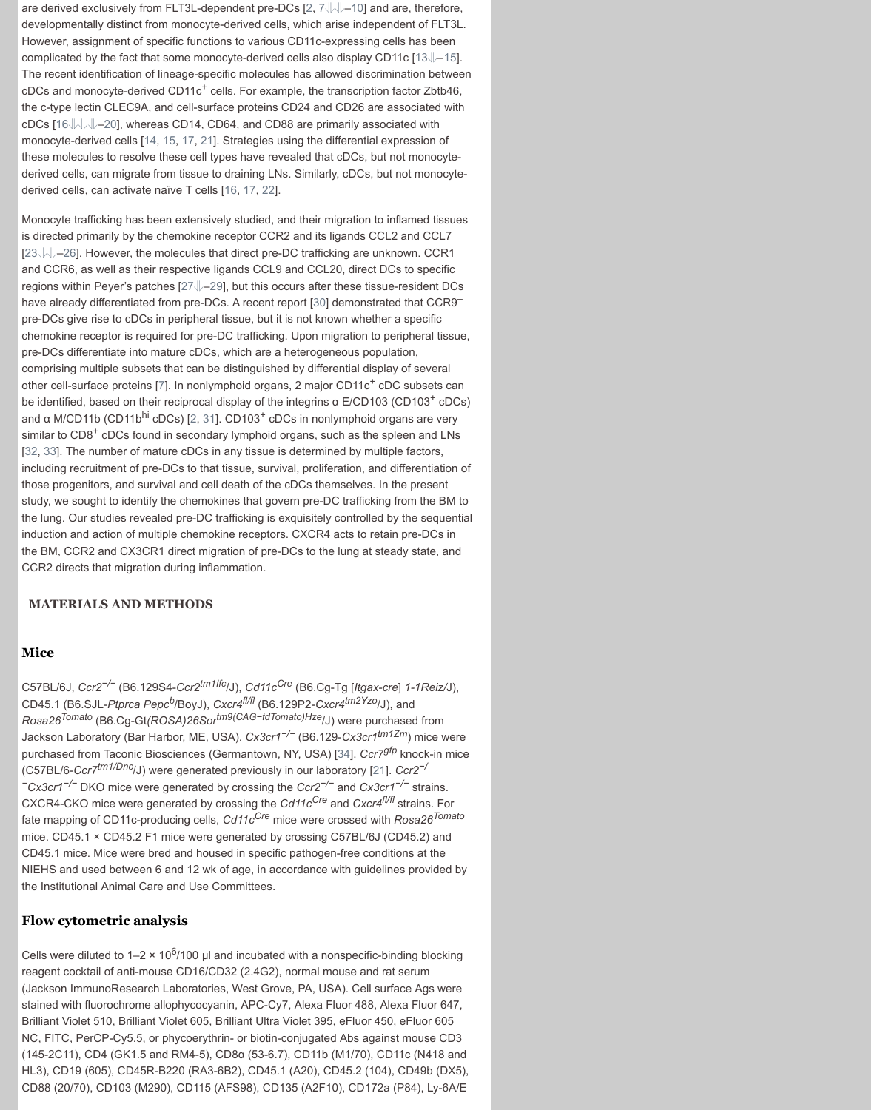and α M/CD11b (CD11bhi cDCs) [2, 31]. CD103+ cDCs in nonlymphoid organs are very similar to CD8<sup>+</sup> cDCs found in secondary lymphoid orga[ns](http://www.jleukbio.org.ezproxy.library.tufts.edu/content/101/5/1143.full#ref-2), [s](http://www.jleukbio.org.ezproxy.library.tufts.edu/content/101/5/1143.full#ref-7)[u](http://www.jleukbio.org.ezproxy.library.tufts.edu/content/101/5/1143.full#ref-8)[ch](http://www.jleukbio.org.ezproxy.library.tufts.edu/content/101/5/1143.full#ref-9) [as t](http://www.jleukbio.org.ezproxy.library.tufts.edu/content/101/5/1143.full#ref-10)he spleen and LNs [32, 33]. The number of mature cDCs in any tissue is determined by multiple factors, including recruitment of pre-DCs to that tissue, survival, proliferation, and differentiat[ion](http://www.jleukbio.org.ezproxy.library.tufts.edu/content/101/5/1143.full#ref-15) of those progenitors, and survival and cell death of the cDCs themselves. In the [pre](http://www.jleukbio.org.ezproxy.library.tufts.edu/content/101/5/1143.full#ref-13)[se](http://www.jleukbio.org.ezproxy.library.tufts.edu/content/101/5/1143.full#ref-14)nt study, we sought to identify the chemokines that govern pre-DC trafficking from the BM to the lung. Our studies revealed pre-DC trafficking is exquisitely controlled by the sequential induction and action of multiple chemokine receptors. CXCR4 acts to retain pre-DCs in the B[M,](http://www.jleukbio.org.ezproxy.library.tufts.edu/content/101/5/1143.full#ref-16) [CC](http://www.jleukbio.org.ezproxy.library.tufts.edu/content/101/5/1143.full#ref-17)[R](http://www.jleukbio.org.ezproxy.library.tufts.edu/content/101/5/1143.full#ref-18)[2](http://www.jleukbio.org.ezproxy.library.tufts.edu/content/101/5/1143.full#ref-19) [and](http://www.jleukbio.org.ezproxy.library.tufts.edu/content/101/5/1143.full#ref-20) CX3CR1 direct migration of pre-DCs to the lung at steady state, and CCR2 directs that migra[tion](http://www.jleukbio.org.ezproxy.library.tufts.edu/content/101/5/1143.full#ref-14) [du](http://www.jleukbio.org.ezproxy.library.tufts.edu/content/101/5/1143.full#ref-15)r[ing](http://www.jleukbio.org.ezproxy.library.tufts.edu/content/101/5/1143.full#ref-17) [infla](http://www.jleukbio.org.ezproxy.library.tufts.edu/content/101/5/1143.full#ref-21)mmation.

### **MATERIALS AND METHODS**

### **Mice**

C57BL/6J, *Ccr2−/−* (B6.129S4-*Ccr2tm1Ifc*/J), *Cd11cCre* (B6.Cg-Tg [*Itgax-cre*] *1-1Reiz/*J), CD45.1 (B6.SJL-*Ptprca Pepcb*/[Boy](http://www.jleukbio.org.ezproxy.library.tufts.edu/content/101/5/1143.full#ref-27)[J\)](http://www.jleukbio.org.ezproxy.library.tufts.edu/content/101/5/1143.full#ref-28), *[Cx](http://www.jleukbio.org.ezproxy.library.tufts.edu/content/101/5/1143.full#ref-29)cr4fl/fl* (B6.129P2-*Cxcr4tm2Yzo*/J), and *Rosa26Tomato* (B6.Cg-Gt*(ROSA)26Sortm9(CAG−tdTomato)H[ze](http://www.jleukbio.org.ezproxy.library.tufts.edu/content/101/5/1143.full#ref-30)*/J) were purchased from Jackson Laboratory (Bar Harbor, ME, USA). *Cx3cr1−/−* (B6.129-*Cx3cr1tm1Zm*) mice were purchased from Taconic Biosciences (Germantown, NY, USA) [34]. *Ccr7gfp* knock-in mice (C57BL/6-*Ccr7tm1/Dnc*/J) were generated previously in our laboratory [21]. *Ccr2−/ <sup>−</sup>Cx3cr1−/−* DKO mice were generated by crossing the *Ccr2−/−* and *Cx3cr1−/−* strains. CXCR4-CKO mice were g[en](http://www.jleukbio.org.ezproxy.library.tufts.edu/content/101/5/1143.full#ref-7)erated by crossing the *Cd11cCre* and *Cxcr4fl/fl* strains. For fate mapping of CD11c-producing cells, *Cd11cCre* mice were crossed with *Rosa26Tomato* mice. CD45.1 × CD45.2 F1 mice [we](http://www.jleukbio.org.ezproxy.library.tufts.edu/content/101/5/1143.full#ref-2)[re](http://www.jleukbio.org.ezproxy.library.tufts.edu/content/101/5/1143.full#ref-31) generated by crossing C57BL/6J (CD45.2) and CD45.1 mice. Mice were bred and housed in specific pathogen-free conditions at the [NIE](http://www.jleukbio.org.ezproxy.library.tufts.edu/content/101/5/1143.full#ref-32)[HS](http://www.jleukbio.org.ezproxy.library.tufts.edu/content/101/5/1143.full#ref-33) and used between 6 and 12 wk of age, in accordance with guidelines provided by the Institutional Animal Care and Use Committees.

### **Flow cytometric analysis**

Cells were diluted to  $1-2 \times 10^6/100$  µl and incubated with a nonspecific-binding blocking reagent cocktail of anti-mouse CD16/CD32 (2.4G2), normal mouse and rat serum (Jackson ImmunoResearch Laboratories, West Grove, PA, USA). Cell surface Ags were stained with fluorochrome allophycocyanin, APC-Cy7, Alexa Fluor 488, Alexa Fluor 647, Brilliant Violet 510, Brilliant Violet 605, Brilliant Ultra Violet 395, eFluor 450, eFluor 605 NC, FITC, PerCP-Cy5.5, or phycoerythrin- or biotin-conjugated Abs against mouse CD3 (145-2C11), CD4 (GK1.5 and RM4-5), CD8α (53-6.7), CD11b (M1/70), CD11c (N418 and HL3), CD19 (605), CD45R-B220 (RA3-6B2), CD45.1 (A20), CD45.2 (104), CD49b (DX5), CD88 (20/70), CD103 (M290), CD115 (AFS98), CD135 (A2F10), CD172a (P84), Ly-6A/E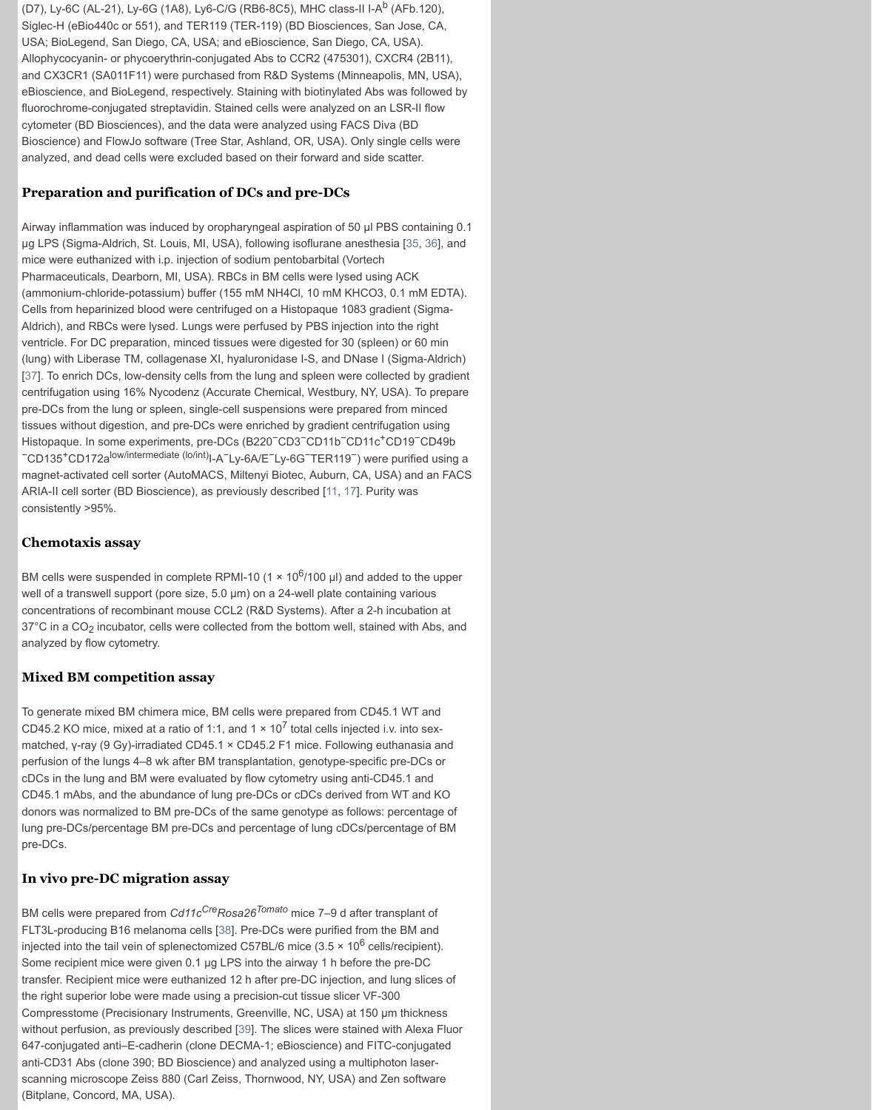tissues without digestion, and pre-DCs were enriched by gradient centrifugation using Histopaque. In some experiments, pre-DCs (B220−CD3−CD11b<sup>−</sup>CD11c+CD19<sup>−</sup>CD49b <sup>−</sup>CD135+CD172alow/intermediate (lo/int)I-A<sup>−</sup>Ly-6A/E−Ly-6G−TER119−) were purified using a magnet-activated cell sorter (AutoMACS, Miltenyi Biotec, Auburn, CA, USA) and an FACS ARIA-II cell sorter (BD Bioscience), as previously described [11, 17]. Purity was consistently >95%.

# **Chemotaxis assay**

BM cells were suspended in complete RPMI-10 (1  $\times$  10<sup>6</sup>/100 µl) and added to the upper well of a transwell support (pore size, 5.0 µm) on a 24-well plate containing various concentrations of recombinant mouse CCL2 (R&D Systems). After a 2-h incubation at  $37^{\circ}$ C in a CO<sub>2</sub> incubator, cells were collected from the bottom well, stained with Abs, and analyzed by flow cytometry.

### **Mixed BM competition assay**

To generate mixed BM chimera mice, BM cells were prepared from CD45.1 WT and CD45.2 KO mice, mixed at a ratio of 1:1, and  $1 \times 10^7$  total cells injected i.v. into sexmatched, γ-ray (9 Gy)-irradiated CD45.1 × CD45.2 F1 mice. Following euthanasia and perfusion of the lungs 4–8 wk after BM transplantation, genotype-specific pre-DCs or cDCs in the lung and BM were evaluated by flow cytometry using anti-CD45.1 and [CD](http://www.jleukbio.org.ezproxy.library.tufts.edu/content/101/5/1143.full#ref-37)45.1 mAbs, and the abundance of lung pre-DCs or cDCs derived from WT and KO donors was normalized to BM pre-DCs of the same genotype as follows: percentage of lung pre-DCs/percentage BM pre-DCs and percentage of lung cDCs/percentage of BM pre-DCs.

# **In vivo pre-DC migration assay**

BM cells were prepared from *Cd11c<sup>Cre</sup>Rosa26<sup>Tomato</sup>* mice 7[–9](http://www.jleukbio.org.ezproxy.library.tufts.edu/content/101/5/1143.full#ref-11) [d af](http://www.jleukbio.org.ezproxy.library.tufts.edu/content/101/5/1143.full#ref-17)ter transplant of FLT3L-producing B16 melanoma cells [38]. Pre-DCs were purified from the BM and injected into the tail vein of splenectomized C57BL/6 mice  $(3.5 \times 10^6 \text{ cells/recipient})$ . Some recipient mice were given 0.1 µg LPS into the airway 1 h before the pre-DC transfer. Recipient mice were euthanized 12 h after pre-DC injection, and lung slices of the right superior lobe were made using a precision-cut tissue slicer VF-300 Compresstome (Precisionary Instruments, Greenville, NC, USA) at 150 µm thickness without perfusion, as previously described [39]. The slices were stained with Alexa Fluor 647-conjugated anti–E-cadherin (clone DECMA-1; eBioscience) and FITC-conjugated anti-CD31 Abs (clone 390; BD Bioscience) and analyzed using a multiphoton laserscanning microscope Zeiss 880 (Carl Zeiss, Thornwood, NY, USA) and Zen software (Bitplane, Concord, MA, USA).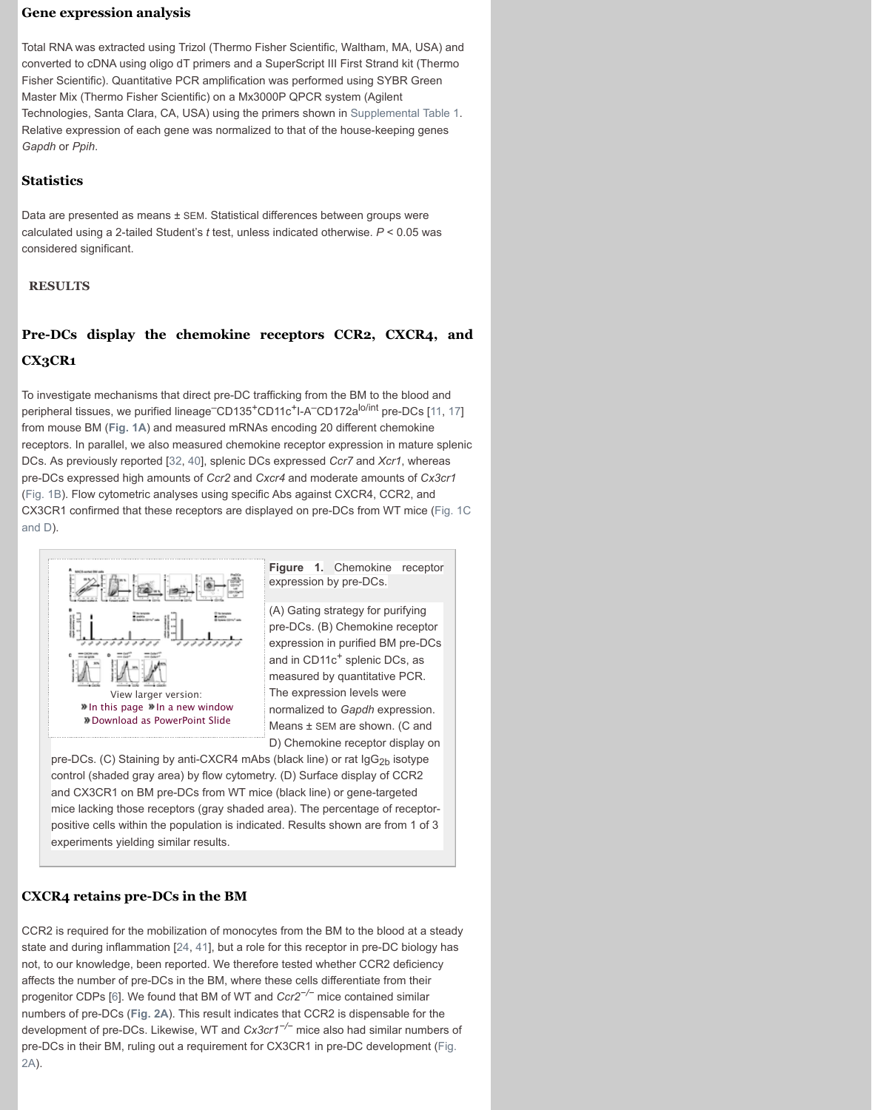from mouse BM (**Fig. 1A**) and measured mRNAs encoding 20 different chemokine receptors. In parallel, we also measured chemokine receptor expression in mature splenic DCs. As previously reported [32, 40], splenic DCs expressed *Ccr7* and *Xcr1*, whereas pre-DCs expressed high amounts of *Ccr2* and *Cxcr4* and moderate amounts of *Cx3cr1* (Fig. 1B). Flow cytometric analyses using specific Abs against CXCR4, CCR2, and CX3CR1 confirmed that these receptors are displayed on pre-DCs from WT mice (Fig. 1C and D).



**Figure 1.** Chemokine receptor expression by pre-DCs.

(A) Gating strategy for purifying pre-DCs. (B) Chemokine receptor expression in purified BM pre-DCs and in CD11c<sup>+</sup> splenic DCs, as measured by quantitative PCR. The expression levels were normalized to *Gapdh* expression. Means ± SEM are shown. (C and D) Chemokine receptor display on

pre-DCs. (C) Staining by anti-CXCR4 mAbs (black line) or rat  $\log_{2b}$  isotype control (shaded gray area) by flow cytometry. (D) Surface display of CCR2 and CX3CR1 on BM pre-DCs from WT mice (black line) or gene-targeted mice lacking those receptors (gray shaded area). The percentage of receptorpositive cells within the population is indicated. Results shown are from 1 of [3](http://www.jleukbio.org.ezproxy.library.tufts.edu/content/101/5/1143.full#ref-11) experiment[s yieldin](http://www.jleukbio.org.ezproxy.library.tufts.edu/content/101/5/1143.full#F1)g similar results.

# **CXCR4 retains pre-DCs in the BM**

[CCR2 is required for the mobilization of monocytes from the BM to the blood at a steady](http://www.jleukbio.org.ezproxy.library.tufts.edu/content/101/5/1143.full#F1) state and during inflammation [24, 41], but a role for this receptor in pre-DC biology has not, to our knowledge, been reported. We therefore tested whether CCR2 deficiency affects the number of pre-DCs in the BM, where these cells differentiate from their progenit[or CDPs \[6\]. We found that BM of W](http://www.jleukbio.org.ezproxy.library.tufts.edu/content/101/5/1143/F1.expansion.html)T and *Ccr2−/−* mice contained similar numbers of pre-DCs (**Fig. 2A**). This result indicates that CCR2 is dispensable for the development of pre-DCs. Likewise, WT and *Cx3cr1−/−* mice also had similar numbers of pre-DCs in their BM, ruling out a requirement for CX3CR1 in pre-DC development (Fig. 2A).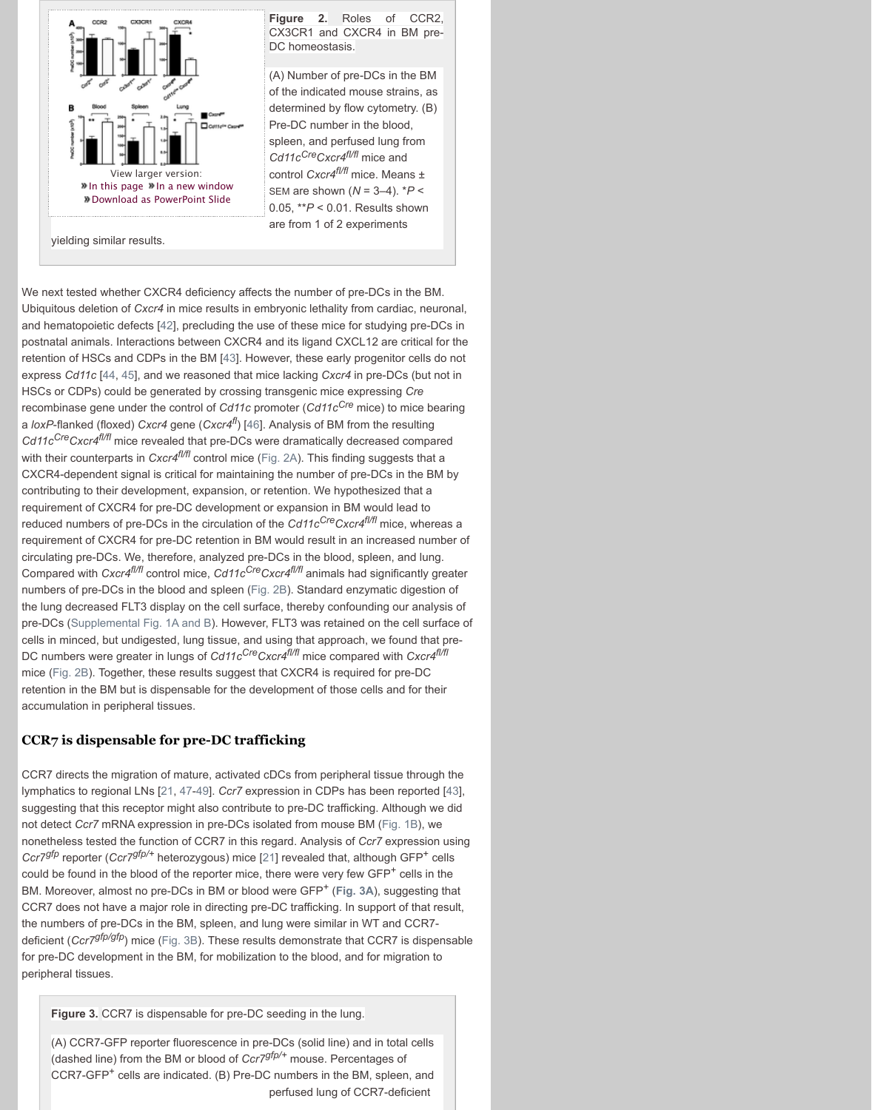a *loxP*-flanked (floxed) *Cxcr4* gene (*Cxcr4fl*) [46]. Analysis of BM from the resulting *Cd11cCreCxcr4fl/fl* mice revealed that pre-DCs were dramatically decreased compared with their counterparts in *Cxcr4<sup>f//f|</sup>* control mice (Fig. 2A). This finding suggests that a CXCR4-[dependent signal is critical for maint](http://www.jleukbio.org.ezproxy.library.tufts.edu/content/101/5/1143/F2.expansion.html)aining the number of pre-DCs in the BM by contributing to their development, expansion, or retention. We hypothesized that a requirement of CXCR4 for pre-DC development or expansion in BM would lead to reduced numbers of pre-DCs in the circulation of the *Cd11c<sup>Cre</sup>Cxcr4<sup>f//fl</sup>* mice, whereas a requirement of CXCR4 for pre-DC retention in BM would result in an increased number of circulating pre-DCs. We, therefore, analyzed pre-DCs in the blood, spleen, and lung. Compared with *Cxcr4fl/fl* control mice, *Cd11cCreCxcr4fl/fl* animals had significantly greater numbers of pre-DCs in the blood and spleen (Fig. 2B). Standard enzymatic digestion of the lung de[creased FLT3 display on the ce](http://www.jleukbio.org.ezproxy.library.tufts.edu/content/101/5/1143/F2.expansion.html)ll surface, thereby confounding our analysis of pre-DCs (S[upplemental Fig. 1A and B\). Ho](http://www.jleukbio.org.ezproxy.library.tufts.edu/powerpoint/101/5/1143/F2)wever, FLT3 was retained on the cell surface of cells in minced, but undigested, lung tissue, and using that approach, we found that pre-DC numbers were greater in lungs of *Cd11cCreCxcr4fl/fl* mice compared with *Cxcr4fl/fl* mice (Fig. 2B). Together, these results suggest that CXCR4 is required for pre-DC retention in the BM but is dispensable for the development of those cells and for their accumulation in peripheral tissues.

# **CCR7 is dispensable [fo](http://www.jleukbio.org.ezproxy.library.tufts.edu/content/101/5/1143.full#ref-42)r pre-DC trafficking**

CCR7 directs the migration of mature, a[ctiv](http://www.jleukbio.org.ezproxy.library.tufts.edu/content/101/5/1143.full#ref-43)ated cDCs from peripheral tissue through the lymphatics to re[gio](http://www.jleukbio.org.ezproxy.library.tufts.edu/content/101/5/1143.full#ref-44)[nal](http://www.jleukbio.org.ezproxy.library.tufts.edu/content/101/5/1143.full#ref-45) LNs [21, 47-49]. *Ccr7* expression in CDPs has been reported [43], suggesting that this receptor might also contribute to pre-DC trafficking. Although we did not detect *Ccr7* mRNA expression in pre-DCs isolated from mouse BM (Fig. 1B), we nonetheless tested the function of CCR7 in t[his](http://www.jleukbio.org.ezproxy.library.tufts.edu/content/101/5/1143.full#ref-46) regard. Analysis of *Ccr7* expression using *Ccr7gfp* reporter (*Ccr7gfp/+* heterozygous) mice [21] revealed that, although GFP+ cells could be found in the blood of the reporter mice[, there w](http://www.jleukbio.org.ezproxy.library.tufts.edu/content/101/5/1143.full#F2)ere very few  $GFP<sup>+</sup>$  cells in the BM. Moreover, almost no pre-DCs in BM or blood were GFP<sup>+</sup> (Fig. 3A), suggesting that CCR7 does not have a major role in directing pre-DC trafficking. In support of that result, the numbers of pre-DCs in the BM, spleen, and lung were similar in WT and CCR7 deficient (*Ccr7gfp/gfp*) mice (Fig. 3B). These results demonstrate that CCR7 is dispensable for pre-DC development in the BM, for mobilization to the blood, and for migration to peripheral tissues.

**Figure 3.** CCR7 is dispensable for pre-[DC seed](http://www.jleukbio.org.ezproxy.library.tufts.edu/content/101/5/1143.full#F2)ing in the lung.

(A) [CCR7-GFP reporter fluoresc](http://www.jleukbio.org.ezproxy.library.tufts.edu//lookup/suppl/doi:10.1189/jlb.1A0616-285R/-/DC1)ence in pre-DCs (solid line) and in total cells (dashed line) from the BM or blood of *Ccr7gfp/+* mouse. Percentages of CCR7-GFP<sup>+</sup> cells are indicated. (B) Pre-DC numbers in the BM, spleen, and perfused lung of CCR7-deficient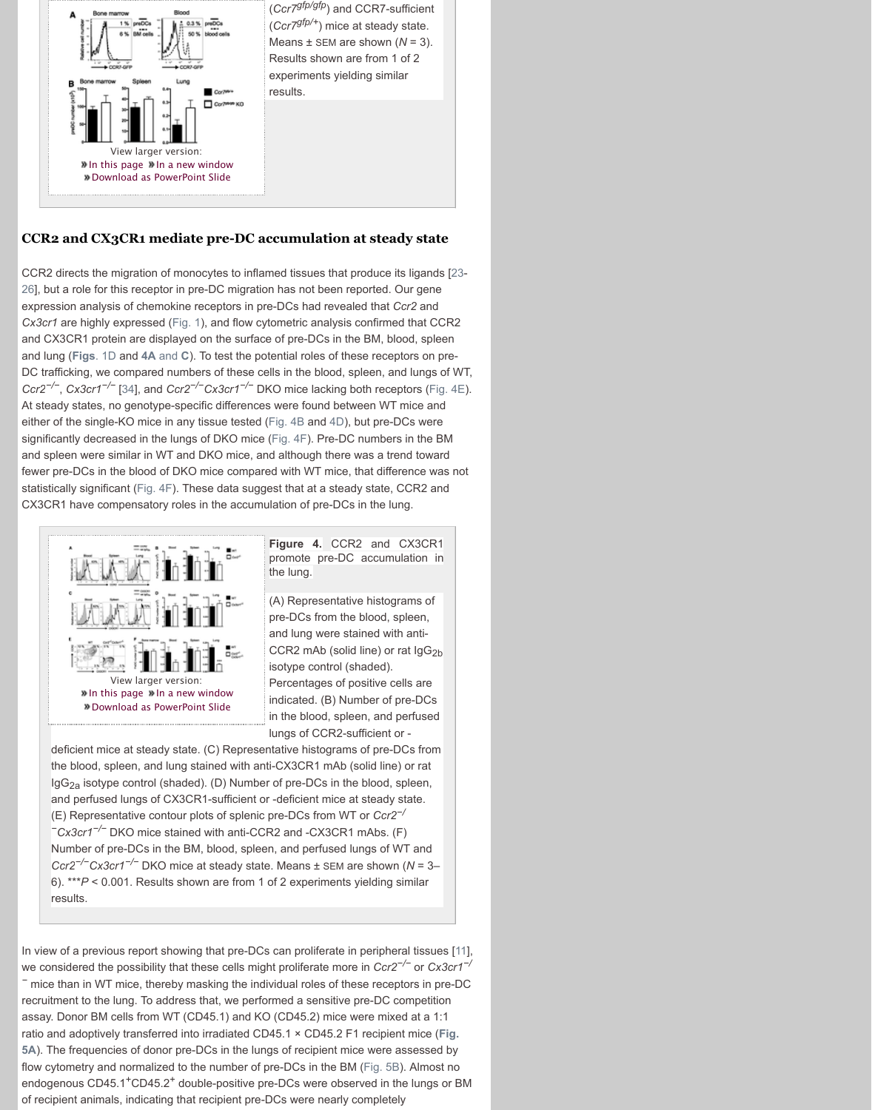either of the single-KO mice in any tissue tested (Fig. 4B and 4D), but pre-DCs were significa[ntly decreased in the lungs of DKO m](http://www.jleukbio.org.ezproxy.library.tufts.edu/content/101/5/1143/F3.expansion.html)ice (Fig. 4F). Pre-DC numbers in the BM and spleen were similar in WT and DKO mice, and although there was a trend toward fewer pre-DCs in the blood of DKO mice compared with WT mice, that difference was not statistically significant (Fig. 4F). These data suggest that at a steady state, CCR2 and CX3CR1 have compensatory roles in the accumulation of pre-DCs in the lung.



**Figure 4.** CCR2 and CX3CR1 promote pre-DC accumulation in the lung.

(A) Representative histograms of pre-DCs from the blood, spleen, and lung were stained with anti-CCR2 mAb (solid line) or rat  $\lg G_{2b}$ isotype control (shaded). Percentages of positive cells are indicated. (B) Number of pre-DCs in the blood, spleen, and perfused lungs of CCR2-sufficient or -

deficient mice at steady [state.](http://www.jleukbio.org.ezproxy.library.tufts.edu/content/101/5/1143.full#F1) (C) Representative histograms of pre-DCs from the blood, spleen, and lung stained with anti-CX3CR1 mAb (solid line) or rat  $\log G_{2a}$  isotype con[trol \(shade](http://www.jleukbio.org.ezproxy.library.tufts.edu/content/101/5/1143.full#F4)d). (D) Number of pre-DCs in the blood, spleen, and perfused lungs of CX3CR1-sufficient or -deficient mice at steady state. (E) Represent[ativ](http://www.jleukbio.org.ezproxy.library.tufts.edu/content/101/5/1143.full#ref-34)e contour plots of splenic pre-DCs from WT or *Ccr2−/ <sup>−</sup>Cx3cr1−/−* DKO mice stained with anti-CCR2 and -CX3CR1 mAbs. (F) Number of pre-DCs in the BM, blood, splee[n, and p](http://www.jleukbio.org.ezproxy.library.tufts.edu/content/101/5/1143.full#F4)erfu[sed](http://www.jleukbio.org.ezproxy.library.tufts.edu/content/101/5/1143.full#F4) lungs of WT and *Ccr2−/−Cx3cr1−/−* DKO mice at steady state[. Means](http://www.jleukbio.org.ezproxy.library.tufts.edu/content/101/5/1143.full#F4) ± SEM are shown (*N* = 3– 6). \*\*\**P* < 0.001. Results shown are from 1 of 2 experiments yielding similar results.

In view of a previous report showing that pre-DCs can proliferate in peripheral tissues [11], we considered the possibility that these cells might proliferate more in *Ccr2−/−* or *Cx3cr1−/ <sup>−</sup>* mice than in WT mice, thereby masking the individual roles of these receptors in pre-DC recruitment to the lung. To address that, we performed a sensitive pre-DC competition assay. Donor BM cells from WT (CD45.1) and KO (CD45.2) mice were mixed at a 1:1 ratio and adoptively transferred into irradiated CD45.1 × CD45.2 F1 recipient mice (**Fig. 5A**). The frequencies of donor pre-DCs in the lungs of recipient mice were assessed by flow cytometry and normalized to the number of pre-DCs in the BM (Fig. 5B). Almost no endogenous CD45.1<sup>+</sup>CD45.2<sup>+</sup> double-positive pre-DCs were observed in the lungs or BM of recipient animals, indicating that recipient pre-DCs were nearly completely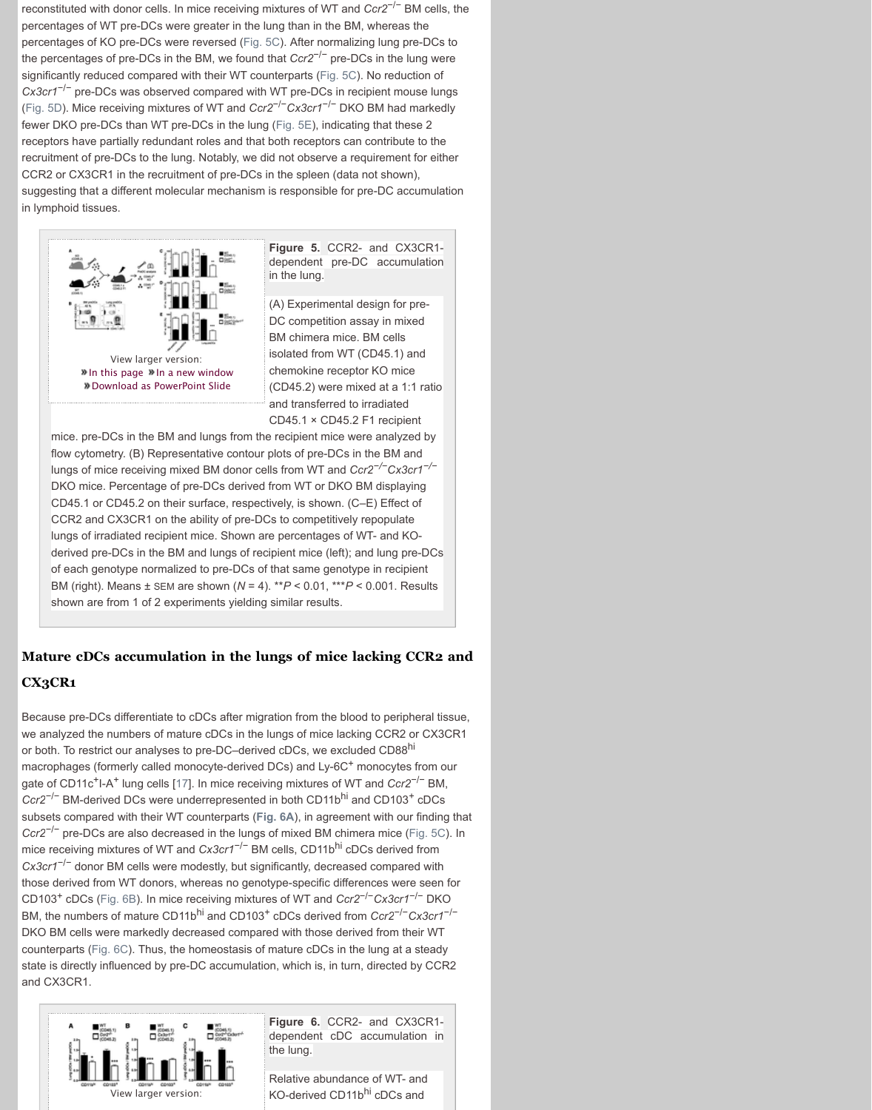CD45.1 × CD45.2 F1 recipient mice. pre-DCs in the BM and lungs from the recipient mice were analyzed by flow cytometry. (B) Representative contour plots of pre-DCs in the BM and lungs of mice receiving mixed BM don[or cells](http://www.jleukbio.org.ezproxy.library.tufts.edu/content/101/5/1143.full#F5) from WT and *Ccr2−/−Cx3cr1−/<sup>−</sup>* DKO mice. Percentage of pre-DCs derived from WT or DKO BM displaying CD45.1 or CD45.2 on their surface, respectively, is s[hown. \(C](http://www.jleukbio.org.ezproxy.library.tufts.edu/content/101/5/1143.full#F5)–E) Effect of CCR2 and CX3CR1 on the ability of pre-DCs to competitively repopulate [lun](http://www.jleukbio.org.ezproxy.library.tufts.edu/content/101/5/1143.full#F5)gs of irradiated recipient mice. Shown are percentages of WT- and KOderived pre-DCs in the BM and lungs of reci[pient mic](http://www.jleukbio.org.ezproxy.library.tufts.edu/content/101/5/1143.full#F5)e (left); and lung pre-DCs of each genotype normalized to pre-DCs of that same genotype in recipient BM (right). Means ± SEM are shown (*N* = 4). \*\**P* < 0.01, \*\*\**P* < 0.001. Results shown are from 1 of 2 experiments yielding similar results.

# **Mature cDCs accumulation in the lungs of mice lacking CCR2 and CX3CR1**

Because pre-DCs differentiate to cDCs after migration from the blood to peripheral tissue, we analyzed the numbers of mature cDCs in the lungs of mice lacking CCR2 or CX3CR1 or both. [To restrict our analyses to pre-DC–d](http://www.jleukbio.org.ezproxy.library.tufts.edu/content/101/5/1143/F5.expansion.html)erived cDCs, we excluded CD88<sup>hi</sup> macrophages (formerly called monocyte-derived DCs) and Ly-6C<sup>+</sup> monocytes from our gate of CD11c<sup>+</sup>I-A<sup>+</sup> lung cells [17]. In mice receiving mixtures of WT and *Ccr2<sup>-/−</sup>* BM, Ccr2<sup>−/−</sup> BM[-](http://www.jleukbio.org.ezproxy.library.tufts.edu/content/101/5/1143/F5.expansion.html)[derived DCs were underrepre](http://www.jleukbio.org.ezproxy.library.tufts.edu/powerpoint/101/5/1143/F5)[s](http://www.jleukbio.org.ezproxy.library.tufts.edu/content/101/5/1143/F5.expansion.html)ented in both CD11b<sup>hi</sup> and CD103<sup>+</sup> cDCs subsets compared with their WT counterparts (**Fig. 6A**), in agreement with our finding that *Ccr2*−/− pre-DCs are also decreased in the lungs of mixed BM chimera mice (Fig. 5C). In mice receiving mixtures of WT and *Cx3cr1*−/− BM cells, CD11bhi cDCs derived from *Cx3cr1*−/− donor BM cells were modestly, but significantly, decreased compared with those derived from WT donors, whereas no genotype-specific differences were seen for CD103+ cDCs (Fig. 6B). In mice receiving mixtures of WT and *Ccr2*−/−*Cx3cr1*−/− DKO BM, the numbers of mature CD11b<sup>hi</sup> and CD103<sup>+</sup> cDCs derived from *Ccr2<sup>-/-</sup>Cx3cr1<sup>-/-</sup>* DKO BM cells were markedly decreased compared with those derived from their WT counterparts (Fig. 6C). Thus, the homeostasis of mature cDCs in the lung at a steady state is directly influenced by pre-DC accumulation, which is, in turn, directed by CCR2 and CX3CR1.



**Figure 6.** CCR2- and CX3CR1 dependent cDC accumulation in the lung.

Relative abundance of WT- and KO-derived CD11bhi cDCs and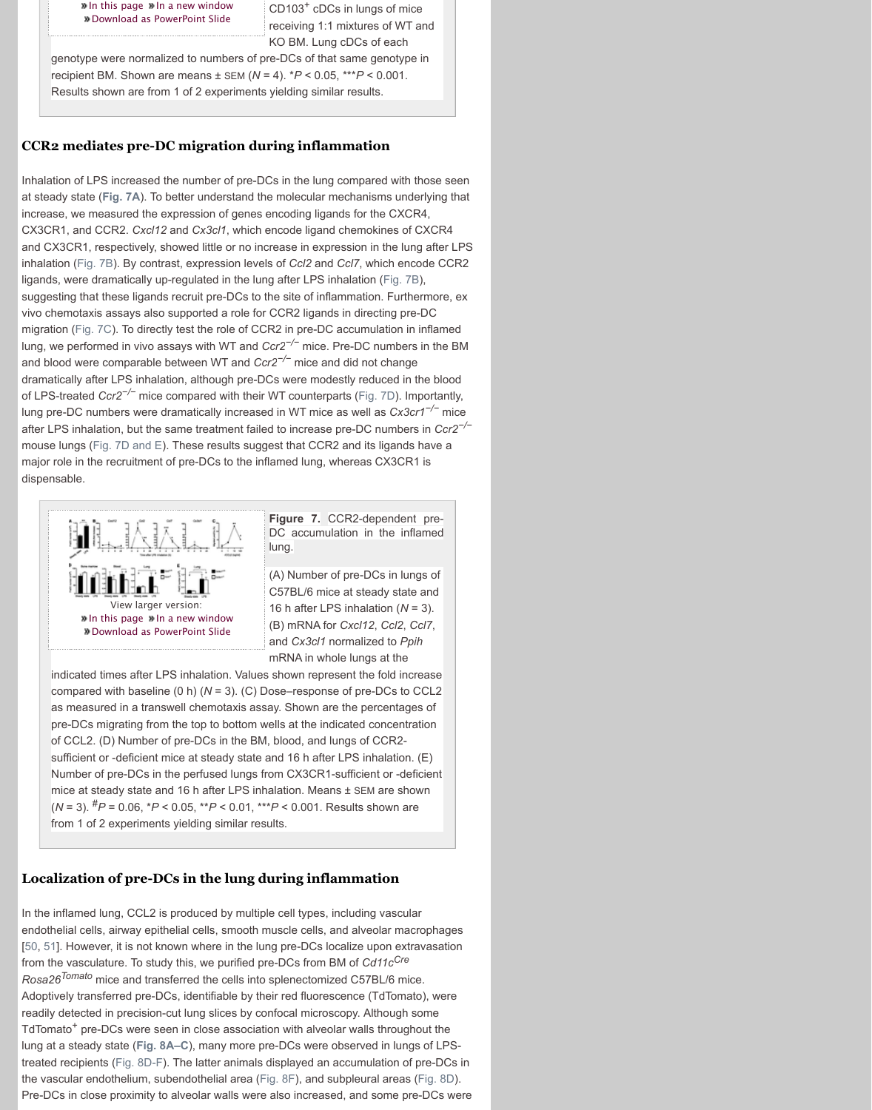after LPS in[halation, but the same treatme](http://www.jleukbio.org.ezproxy.library.tufts.edu/content/101/5/1143/F6.expansion.html)nt failed to increase pre-DC numbers in *Ccr2−/<sup>−</sup>* mouse lung[s \(Fig. 7D and E\). These resul](http://www.jleukbio.org.ezproxy.library.tufts.edu/powerpoint/101/5/1143/F6)ts suggest that CCR2 and its ligands have a major role in the recruitment of pre-DCs to the inflamed lung, whereas CX3CR1 is dispensable.



**Figure 7.** CCR2-dependent pre-DC accumulation in the inflamed lung.

(A) Number of pre-DCs in lungs of C57BL/6 mice at steady state and 16 h after LPS inhalation (*N* = 3). (B) mRNA for *Cxcl12*, *Ccl2*, *Ccl7*, and *Cx3cl1* normalized to *Ppih* mRNA in whole lungs at the

indicated times after LPS inhalation. Values shown represent the fold increase com[pared wi](http://www.jleukbio.org.ezproxy.library.tufts.edu/content/101/5/1143.full#F7)th baseline (0 h) (*N* = 3). (C) Dose–response of pre-DCs to CCL2 as measured in a transwell chemotaxis assay. Shown are the perc[entages](http://www.jleukbio.org.ezproxy.library.tufts.edu/content/101/5/1143.full#F7) of pre-DCs migrating from the top to bottom wells at the indicated concentration of CCL2. (D) Number of pre-DCs in the BM, blood, and lungs of CCR2 suffi[cient or](http://www.jleukbio.org.ezproxy.library.tufts.edu/content/101/5/1143.full#F7) -deficient mice at steady state and 16 h after LPS inhalation. (E) Number of pre-DCs in the perfused lungs from CX3CR1-sufficient or -deficient mice at steady state and 16 h after LPS inhalation. Means ± SEM are shown (*N* = 3). #*P* = 0.06, \**P* < 0.05, \*\**P* < 0.01, \*\*\**P* < 0.001. Result[s shown](http://www.jleukbio.org.ezproxy.library.tufts.edu/content/101/5/1143.full#F7) are from 1 of 2 experiments yielding similar results.

# **Localization of pre-DCs in the lung during inflammation**

In the inflamed lung, CCL2 is produced by multiple cell types, including vascular endothelial cells, airway epithelial cells, smooth muscle cells, and alveolar macrophages [50, 51]. However, it is not known where in the lung pre-DCs localize upon extravasation from the vasculature. To study this, we purified pre-DCs from BM of *Cd11cCre Rosa26Tomato* mice and transferred the cells into splenectomized C57BL/6 mice. Adoptivel[y transferred pre-DCs, identifiable b](http://www.jleukbio.org.ezproxy.library.tufts.edu/content/101/5/1143/F7.expansion.html)y their red fluorescence (TdTomato), were readily detected in precision-cut lung slices by confocal microscopy. Although some TdTomato<sup>+</sup> [pre-DCs were seen in close as](http://www.jleukbio.org.ezproxy.library.tufts.edu/content/101/5/1143/F7.expansion.html)sociation with alveolar walls throughout the lung at a ste[ady state \(](http://www.jleukbio.org.ezproxy.library.tufts.edu/powerpoint/101/5/1143/F7)**Fig. 8A–C**), many more pre-DCs were observed in lungs of LPStreated recipients (Fig. 8D-F). The latter animals displayed an accumulation of pre-DCs in the vascular endothelium, subendothelial area (Fig. 8F), and subpleural areas (Fig. 8D). Pre-DCs in close proximity to alveolar walls were also increased, and some pre-DCs were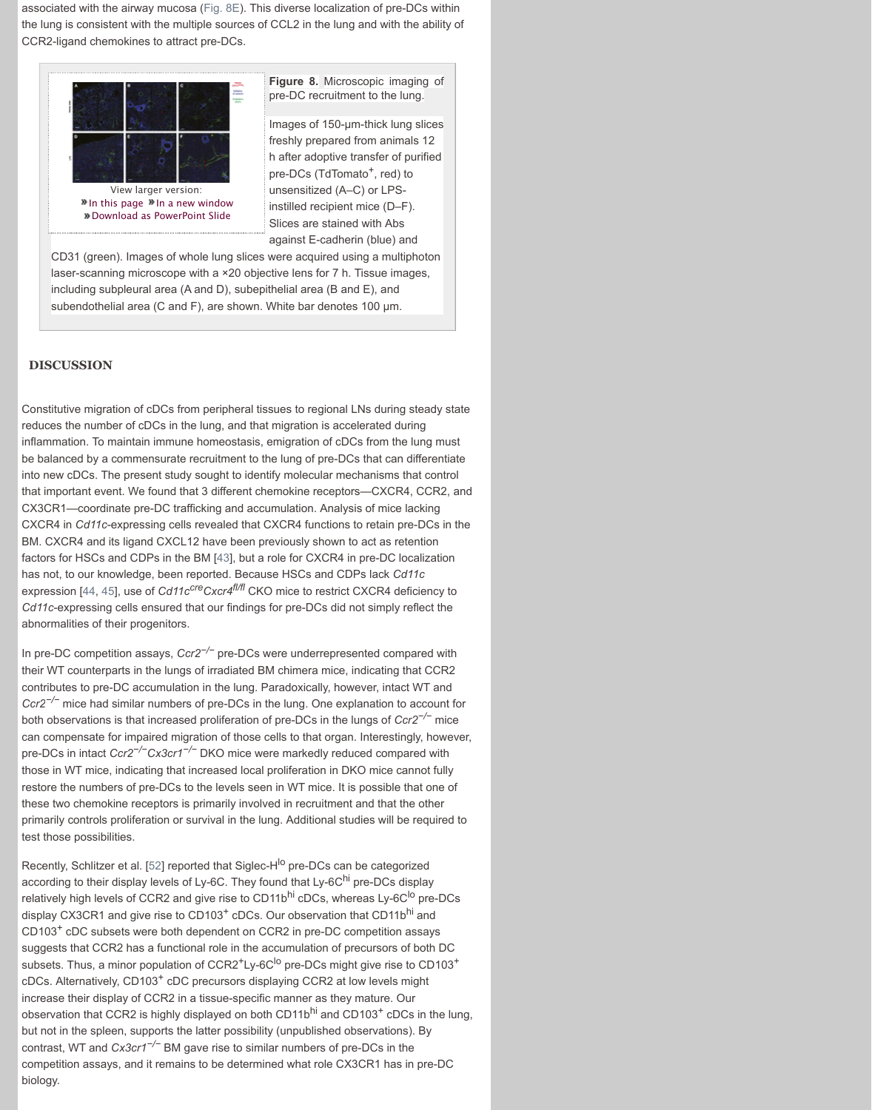reduces the number of cDCs in the l[ung, an](http://www.jleukbio.org.ezproxy.library.tufts.edu/content/101/5/1143.full#F8)d that migration is accelerated during inflammation. To maintain immune homeostasis, emigration of cDCs from the lung must be balanced by a commensurate recruitment to the lung of pre-DCs that can differentiate into new cDCs. The present study sought to identify molecular mechanisms that control that important event. We found that 3 different chemokine receptors—CXCR4, CCR2, and CX3CR1[—coordinate pre-DC trafficking and](http://www.jleukbio.org.ezproxy.library.tufts.edu/content/101/5/1143/F8.expansion.html) accumulation. Analysis of mice lacking CXCR4 in *Cd11c*-expressing cells revealed that CXCR4 functions to retain pre-DCs in the BM. CXCR4 and its ligand CXCL12 have been previously shown to act as retention factors for HSCs and CDPs in the BM [43], but a role for CXCR4 in pre-DC localization has not, to our knowledge, been reported. Because HSCs and CDPs lack *Cd11c* expression [44, 45], use of *Cd11c<sup>cre</sup>Cxcr4<sup>f|/f|</sup>* CKO mice to restrict CXCR4 deficiency to *Cd11c*-expressing cells ensured that our findings for pre-DCs did not simply reflect the abnormaliti[es of their progenitors.](http://www.jleukbio.org.ezproxy.library.tufts.edu/content/101/5/1143/F8.expansion.html)

In pre-DC competition assays, *Ccr2−/−* pre-DCs were underrepresented compared with their WT counterparts in the lungs of irradiated BM chimera mice, indicating that CCR2 contributes to pre-DC accumulation in the lung. Paradoxically, however, intact WT and *Ccr2−/−* mice had similar numbers of pre-DCs in the lung. One explanation to account for both observations is that increased proliferation of pre-DCs in the lungs of *Ccr2−/−* mice can compensate for impaired migration of those cells to that organ. Interestingly, however, pre-DCs in intact *Ccr2−/−Cx3cr1−/−* DKO mice were markedly reduced compared with those in WT mice, indicating that increased local proliferation in DKO mice cannot fully restore the numbers of pre-DCs to the levels seen in WT mice. It is possible that one of these two chemokine receptors is primarily involved in recruitment and that the other primarily controls proliferation or survival in the lung. Additional studies will be required to test those possibilities.

Recently, Schlitzer et al. [52] reported that Siglec-H<sup>lo</sup> pre-DCs can be categorized according to their display levels of Ly-6C. They found that Ly-6C<sup>hi</sup> pre-DCs display relatively high levels of CCR2 and give rise to CD11b<sup>hi</sup> cDCs, whereas Ly-6C<sup>lo</sup> pre-DCs display CX3CR1 and give rise to CD103<sup>+</sup> cDCs. Our observation that CD11b<sup>hi</sup> and CD103+ cDC subsets were both dependent on CCR2 in pre-DC competition assays suggests that CCR2 has a functional role in the accumulation of precursors of both DC subsets. Thus, a minor population of  $CCR2<sup>+</sup>Ly-6C<sup>lo</sup>$  pre-DCs might give rise to  $CD103<sup>+</sup>$ cDCs. Alternatively, CD103<sup>+</sup> cDC prec[urs](http://www.jleukbio.org.ezproxy.library.tufts.edu/content/101/5/1143.full#ref-43)ors displaying CCR2 at low levels might increase their display of CCR2 in a tissue-specific manner as they mature. Our observation [tha](http://www.jleukbio.org.ezproxy.library.tufts.edu/content/101/5/1143.full#ref-44)[t CC](http://www.jleukbio.org.ezproxy.library.tufts.edu/content/101/5/1143.full#ref-45)R2 is highly displayed on both CD11b<sup>hi</sup> and CD103<sup>+</sup> cDCs in the lung, but not in the spleen, supports the latter possibility (unpublished observations). By contrast, WT and *Cx3cr1−/−* BM gave rise to similar numbers of pre-DCs in the competition assays, and it remains to be determined what role CX3CR1 has in pre-DC biology.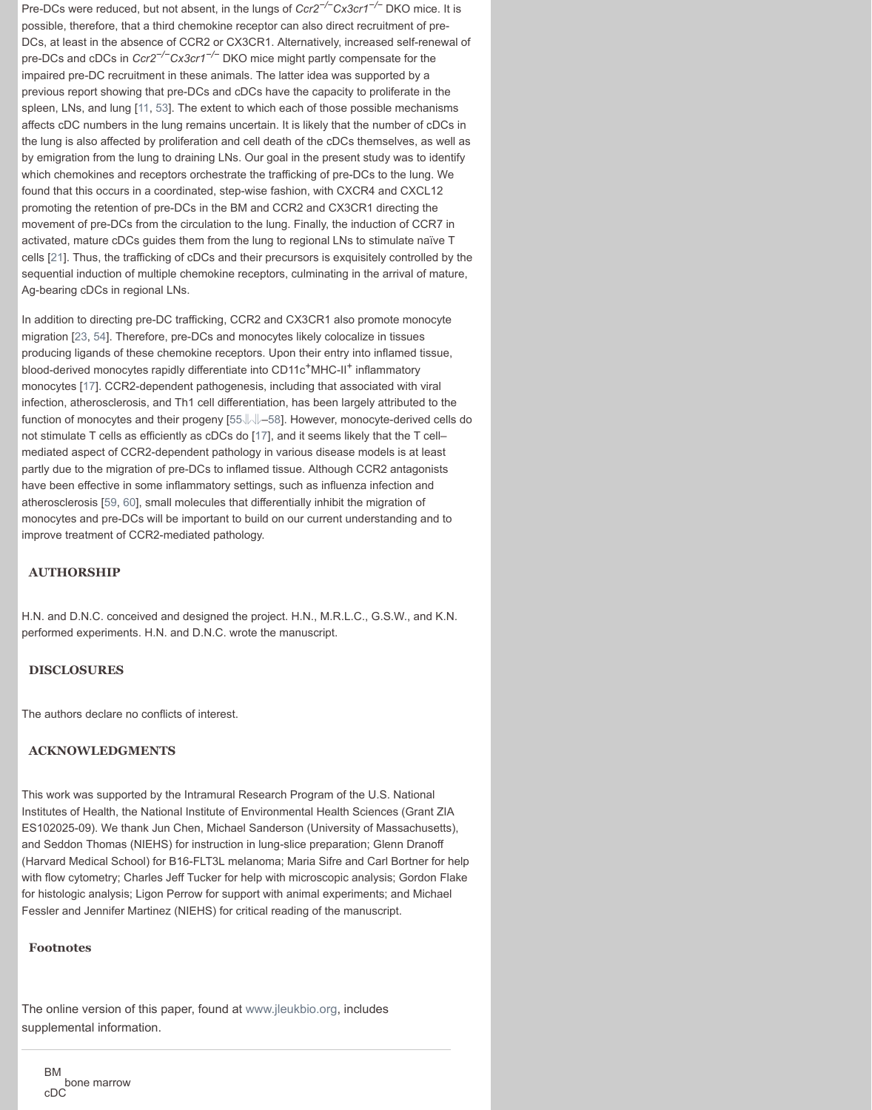function of monocytes and their progeny [55⇓⇓–58]. However, monocyte-derived cells do not stimulate T cells as efficiently as cDCs do [17], and it seems likely that the T cell– mediated aspect of CCR2-dependent pathology in various disease models is at least partly due to the migration of pre-DCs to inflamed tissue. Although CCR2 antagonists have been effective in some inflammatory settings, such as influenza infection and atherosclerosis [59, 60], small molecules that differentially inhibit the migration of monocytes and pre-DCs will be important to build on our current understanding and to improve treatment of C[CR](http://www.jleukbio.org.ezproxy.library.tufts.edu/content/101/5/1143.full#ref-11)[2-m](http://www.jleukbio.org.ezproxy.library.tufts.edu/content/101/5/1143.full#ref-53)ediated pathology.

### **AUTHORSHIP**

H.N. and D.N.C. conceived and designed the project. H.N., M.R.L.C., G.S.W., and K.N. performed experiments. H.N. and D.N.C. wrote the manuscript.

#### **DI[SCL](http://www.jleukbio.org.ezproxy.library.tufts.edu/content/101/5/1143.full#ref-21)OSURES**

The authors declare no conflicts of interest.

#### **ACKN[OW](http://www.jleukbio.org.ezproxy.library.tufts.edu/content/101/5/1143.full#ref-23)[LE](http://www.jleukbio.org.ezproxy.library.tufts.edu/content/101/5/1143.full#ref-54)DGMENTS**

This work was supported by the Intramural Research Program of the U.S. National Institutes of [He](http://www.jleukbio.org.ezproxy.library.tufts.edu/content/101/5/1143.full#ref-17)alth, the National Institute of Environmental Health Sciences (Grant ZIA ES102025-09). We thank Jun Chen, Michael Sanderson (University of Massachusetts), and Seddon Thomas (NIEHS) for instruct[ion](http://www.jleukbio.org.ezproxy.library.tufts.edu/content/101/5/1143.full#ref-55) [i](http://www.jleukbio.org.ezproxy.library.tufts.edu/content/101/5/1143.full#ref-56)[n lu](http://www.jleukbio.org.ezproxy.library.tufts.edu/content/101/5/1143.full#ref-57)[ng-](http://www.jleukbio.org.ezproxy.library.tufts.edu/content/101/5/1143.full#ref-58)slice preparation; Glenn Dranoff (Harvard Medical School) for B16-FLT3L mela[nom](http://www.jleukbio.org.ezproxy.library.tufts.edu/content/101/5/1143.full#ref-17)a; Maria Sifre and Carl Bortner for help with flow cytometry; Charles Jeff Tucker for help with microscopic analysis; Gordon Flake for histologic analysis; Ligon Perrow for support with animal experiments; and Michael Fessler and Jen[nife](http://www.jleukbio.org.ezproxy.library.tufts.edu/content/101/5/1143.full#ref-59)[r M](http://www.jleukbio.org.ezproxy.library.tufts.edu/content/101/5/1143.full#ref-60)artinez (NIEHS) for critical reading of the manuscript.

#### **Footnotes**

The online version of this paper, found at www.jleukbio.org, includes supplemental information.

BM bone marrow cDC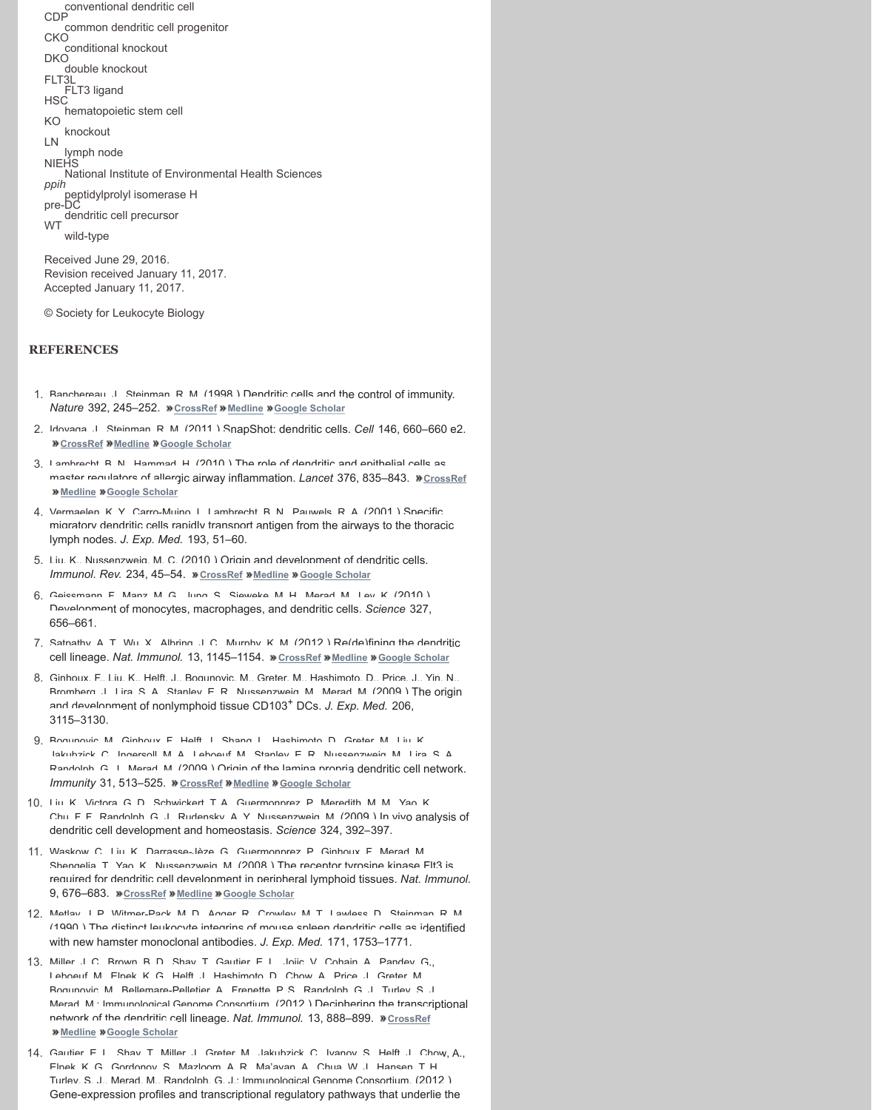- 2. Idovaga, J., Steinman, R. M. (2011) SnapShot: dendritic cells. *Cell* 146, 660–660 e2. **N** CrossRef **Medline M** Google Scholar
- 3. Lambrecht, B. N., Hammad, H. (2010 ) The role of dendritic and epithelial cells as master requilators of allergic airway inflammation. *Lancet* 376, 835-843. » CrossRef **Medline Google Scholar**
- 4. Vermaelen, K. Y. Carro-Muino, I. Lambrecht, B. N., Pauwels, R. A. (2001) Specific migratory dendritic cells rapidly transport antigen from the airways to the thoracic lymph nodes. *J. Exp. Med.* 193, 51–60.
- 5. Liu, K., Nussenzweig, M. C. (2010.) Origin and development of dendritic cells. *Immunol. Rev.* 234, 45–54. *M* CrossRef **Medline M** Google Scholar
- 6. Geissmann, F. Manz, M. G., Jung, S. Sieweke, M. H. Merad, M. Ley, K. (2010) Development of monocytes, macrophages, and dendritic cells. *Science* 327, 656–661.
- 7. Satnathy, A. T. Wu, X. Albring, J. C. Murnhy, K. M. (2012 ) Re(de)fining the dendritic cell lineage. *Nat. Immunol.* 13, 1145–1154. **CrossRef Medline Google Scholar**
- 8. Ginhoux, F., Liu, K., Helft, J., Bogunovic, M., Greter, M., Hashimoto, D., Price, J., Yin, N. Bromberg, J. Lira, S. A., Stanley, E. R., Nussenzweig, M., Merad, M. (2009) The origin and development of nonlymphoid tissue CD103<sup>+</sup> DCs. *J. Exp. Med.* 206, 3115–3130.
- 9. Bogunovic, M., Ginhoux, F., Helft, L., Shang, L., Hashimoto, D., Creter, M., Liu, K. Jakubzick, C., Ingersoll, M. A., Leboeuf, M., Stanley, E. R., Nussenzweig, M., Lira, S. A., Randolph, G. J. Marad, M. (2009) Origin of the lamina propria dendritic cell network. *Immunity* 31, 513–525. **»** CrossRef **»** Medline **»** Google Scholar
- 10. Liu, K., Victora, G. D., Schwickert, T. A., Guermonnrez, P. Meredith, M. M., Yao, K. Chu, F. F. Randolph, G. J. Rudensky, A. Y. Nussenzweig, M. (2009) In vivo analysis of dendritic cell developm[ent and ho](http://www.jleukbio.org.ezproxy.library.tufts.edu/external-ref?access_num=10.1038/32588&link_type=DOI)[meostasi](http://www.jleukbio.org.ezproxy.library.tufts.edu/external-ref?access_num=9521319&link_type=MED)s. *[Science](http://scholar.google.com.ezproxy.library.tufts.edu/scholar_lookup?title=Dendritic%20cells%20and%20the%20control%20of%20immunity.&author=J.%20Banchereau&author=R.%20M.%20Steinman&publication_year=1998&journal=Nature&volume=392&pages=245-252)* 324, 392–397.
- 11. Waskow C., Liu, K., Darrasse-Jèze, G., Guermonprez, P., Ginhoux, F., Merad, M. [Shengelia,](http://www.jleukbio.org.ezproxy.library.tufts.edu/external-ref?access_num=10.1016/j.cell.2011.08.010&link_type=DOI) [T., Yao, K.,](http://www.jleukbio.org.ezproxy.library.tufts.edu/external-ref?access_num=21854989&link_type=MED) [Nussenzweig, M](http://scholar.google.com.ezproxy.library.tufts.edu/scholar_lookup?title=SnapShot%3A%20dendritic%20cells&author=J.%20Idoyaga&author=R.%20M.%20Steinman&publication_year=2011&journal=Cell&volume=146&pages=660-660%20e2). (2008.) The receptor tyrosine kinase Flt3 is required for dendritic cell development in peripheral lymphoid tissues. *Nat. Immunol.* 9, 676–683. **»** CrossRef **»** Medline » Google Scholar
- 12. Matlay, I. P., Witmar\_Pack, M. D., Agger, R., Crowley, M. T. Lawless, D. Steinman, R. M. (1990 ) The distinct leukocyte integrins of mouse spleen dendritic cells as identified with new hamster monoclonal antibodies. *J. Exp. Med.* 171, 1753–1771.
- 13. Miller, J. C., Brown, B. D., Shay, T. Gautier, E. L., Jojic, V. Cohain, A., Pandey, G., Leboeuf, M., Elpek, K. G., Helft, J., Hashimoto, D., Chow, A., Price, J., Greter, M., Bogunovic, M., Bellemare-Pell[etier, A., Fr](http://www.jleukbio.org.ezproxy.library.tufts.edu/external-ref?access_num=10.1111/j.0105-2896.2009.00879.x&link_type=DOI)enette, P.[S., Randolph, G. J](http://scholar.google.com.ezproxy.library.tufts.edu/scholar_lookup?title=Origin%20and%20development%20of%20dendritic%20cells.&author=K.%20Liu&author=M.%20C.%20Nussenzweig&publication_year=2010&journal=Immunol.%20Rev.&volume=234&pages=45-54)., Turley, S. J. Merad, M.; Immunological Genome Consortium. (2012.) Deciphering the transcriptional network of the dendritic cell lineage. Nat. Immunol. 13, 888-899. **»** CrossRef **Medline Google Scholar**
- 14. Gautier, E. L., Shav, T. Miller, J. Greter, M., Jakubzick, C. Ivanov, S. Helft, J. Chow, A., Elpek, K. G., Gordonov, S., Mazloom, A. R., Ma'ayan, A., Chua, W. J., Hansen, T. H., Turley, S. J., Merad, M., Randolph, G. J.; Immu[nological G](http://www.jleukbio.org.ezproxy.library.tufts.edu/external-ref?access_num=10.1038/ni.2467&link_type=DOI)[enome Co](http://www.jleukbio.org.ezproxy.library.tufts.edu/external-ref?access_num=23160217&link_type=MED)[nsortium. \(2012](http://scholar.google.com.ezproxy.library.tufts.edu/scholar_lookup?title=Re%28de%29fining%20the%20dendritic%20cell%20lineage.&author=A.%20T.%20Satpathy&author=X.%20Wu&author=J.%20C.%20Albring&author=K.%20M.%20Murphy&publication_year=2012&journal=Nat.%20Immunol.&volume=13&pages=1145-1154) ) Gene-expression profiles and transcriptional regulatory pathways that underlie the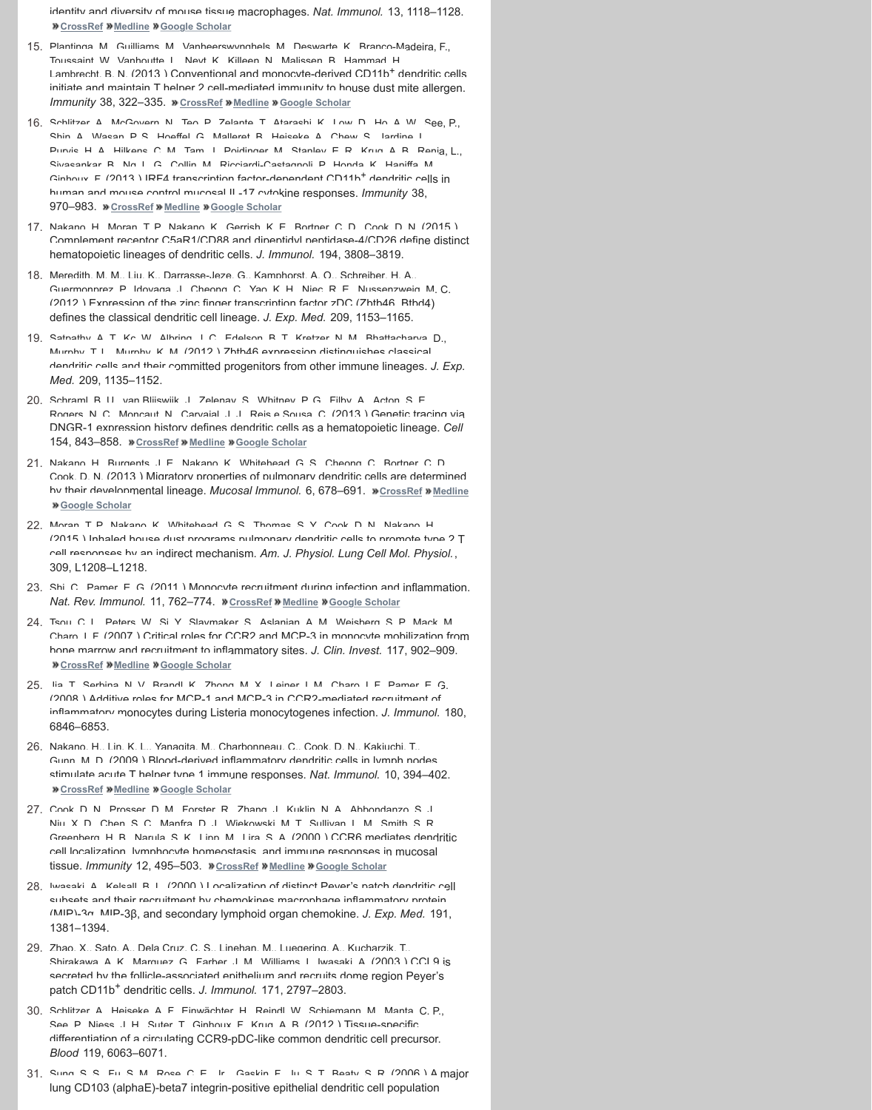DNGR-1 expression history defines dendritic cells as a hematopoietic lineage. *Cell* [154, 843–8](http://www.jleukbio.org.ezproxy.library.tufts.edu/external-ref?access_num=10.1038/ni.2419&link_type=DOI)[58.](http://www.jleukbio.org.ezproxy.library.tufts.edu/external-ref?access_num=23023392&link_type=MED) **CrossRef [Medline](http://scholar.google.com.ezproxy.library.tufts.edu/scholar_lookup?title=Gene-expression%20profiles%20and%20transcriptional%20regulatory%20pathways%20that%20underlie%20the%20identity%20and%20diversity%20of%20mouse%20tissue%20macrophages.&author=E.%20L.%20Gautier&author=T.%20Shay&author=J.%20Miller&author=M.%20Greter&author=C.%20Jakubzick&author=S.%20Ivanov&author=J.%20Helft&author=A.%20Chow&author=K.%20G.%20Elpek&author=S.%20Gordonov&author=A.%20R.%20Mazloom&author=A.%20Ma%E2%80%99ayan&author=W.%20J.%20Chua&author=T.%20H.%20Hansen&author=S.%20J.%20Turley&author=M.%20Merad&author=G.%20J.%20Randolph&publication_year=2012&journal=Nat.%20Immunol.&volume=13&pages=1118-1128) Google Scholar**

- 21. Nakano, H., Burgents, J. E., Nakano, K., Whitehead, G. S., Cheong, C. Bortner, C. D. Cook, D. N. (2013.) Migratory properties of pulmonary dendritic cells are determined by their developmental lineage. *Mucosal Immunol.* 6, 678–691. **»** CrossRef **»** Medline **Google Scholar**
- 22. Moran, T. P., Nakano, K., [Whitehead,](http://www.jleukbio.org.ezproxy.library.tufts.edu/external-ref?access_num=10.1016/j.immuni.2012.10.016&link_type=DOI) [G. S., Tho](http://www.jleukbio.org.ezproxy.library.tufts.edu/external-ref?access_num=23352232&link_type=MED)mas, S. Y. Cook, D. N., Nakano, H. (2015 ) Inhaled house dust programs pulmonary dendritic cells to promote type 2 T cell responses by an indirect mechanism. *Am. J. Physiol. Lung Cell Mol. Physiol.*, 309, L1208–L1218.
- 23. Shi, C., Pamer, E. G. (2011) Monocyte recruitment during infection and inflammation. *Nat. Rev. Immunol.* 11, 762–774. **»** CrossRef **»** Medline **»** Google Scholar
- 24. Tsou, C. L., [Peters, W.](http://www.jleukbio.org.ezproxy.library.tufts.edu/external-ref?access_num=10.1016/j.immuni.2013.04.011&link_type=DOI)[, Si, Y., Sla](http://www.jleukbio.org.ezproxy.library.tufts.edu/external-ref?access_num=23706669&link_type=MED)[ymaker, S., Aslan](http://scholar.google.com.ezproxy.library.tufts.edu/scholar_lookup?title=IRF4%20transcription%20factor-dependent%20CD11b%2B%20dendritic%20cells%20in%20human%20and%20mouse%20control%20mucosal%20IL-17%20cytokine%20responses.&author=A.%20Schlitzer&author=N.%20McGovern&author=P.%20Teo&author=T.%20Zelante&author=K.%20Atarashi&author=D.%20Low&author=A.%20W.%20Ho&author=P.%20See&author=A.%20Shin&author=P.%20S.%20Wasan&author=G.%20Hoeffel&author=B.%20Malleret&author=A.%20Heiseke&author=S.%20Chew&author=L.%20Jardine&author=H.%20A.%20Purvis&author=C.%20M.%20Hilkens&author=J.%20Tam&author=M.%20Poidinger&author=E.%20R.%20Stanley&author=A.%20B.%20Krug&author=L.%20Renia&author=B.%20Sivasankar&author=L.%20G.%20Ng&author=M.%20Collin&author=P.%20Ricciardi-Castagnoli&author=K.%20Honda&author=M.%20Haniffa&author=F.%20Ginhoux&publication_year=2013&journal=Immunity&volume=38&pages=970-983)ian, A. M., Weisberg, S. P., Mack, M. Charo, I. F. (2007.) Critical roles for CCR2 and MCP-3 in monocyte mobilization from bone marrow and recruitment to inflammatory sites. *J. Clin. Invest.* 117, 902–909. *M* CrossRef **Medline MGoogle Scholar**
- 25. Iia, T. Sarhina, N. V., Brandl, K., Zhong, M. X., Lainar, I. M., Charo, I. F., Damar, E. G. (2008 ) Additive roles for MCP-1 and MCP-3 in CCR2-mediated recruitment of inflammatory monocytes during Listeria monocytogenes infection. *J. Immunol.* 180, 6846–6853.
- 26. Nakano, H. Lin, K. L. Yanagita, M. Charbonneau, C. Cook, D. N. Kakiuchi, T. Gunn, M. D. (2009 ) Blood-derived inflammatory dendritic cells in lymph nodes stimulate acute T helper type 1 immune responses. Nat. Immunol. 10, 394-402. **CrossRef Medline Google Scholar**
- 27. Cook, D. N., Prosser, D. M., Forster, R., Zhang, J., Kuklin, N. A., Abbondanzo, S. J. Niu, X. D., Chen, S. C., Manfra, D. J., Wiekowski, M. T. Sullivan, L. M., Smith, S. R. Greenberg, H. R., Narula, S. K., Linn, M., Lira, S. A. (2000) CCR6 mediates dendritic cell localization, lymphocyte homeostasis, and immune responses in mucosal tissue. *Immunity* [12, 495–](http://www.jleukbio.org.ezproxy.library.tufts.edu/external-ref?access_num=10.1016/j.cell.2013.07.014&link_type=DOI)[503.](http://www.jleukbio.org.ezproxy.library.tufts.edu/external-ref?access_num=23953115&link_type=MED) **»** CrossRef **»** [Medline](http://scholar.google.com.ezproxy.library.tufts.edu/scholar_lookup?title=Genetic%20tracing%20via%20DNGR-1%20expression%20history%20defines%20dendritic%20cells%20as%20a%20hematopoietic%20lineage.&author=B.%20U.%20Schraml&author=J.%20van%20Blijswijk&author=S.%20Zelenay&author=P.%20G.%20Whitney&author=A.%20Filby&author=S.%20E.%20Acton&author=N.%20C.%20Rogers&author=N.%20Moncaut&author=J.%20J.%20Carvajal&author=C.%20Reis%20e%20Sousa&publication_year=2013&journal=Cell&volume=154&pages=843-858) **»** Google Scholar
- 28. Iwasaki, A., Kelsall, B. L. (2000) Localization of distinct Peyer's patch dendritic cell subsets and their recruitment by chemokines macrophage inflammatory protein (MIP)-3α, MIP-3β, and secondary lymphoid organ chemokine. *J. [Exp. Med](http://www.jleukbio.org.ezproxy.library.tufts.edu/external-ref?access_num=10.1038/mi.2012.106&link_type=DOI).* [191,](http://www.jleukbio.org.ezproxy.library.tufts.edu/external-ref?access_num=23168837&link_type=MED) [1381–1394.](http://scholar.google.com.ezproxy.library.tufts.edu/scholar_lookup?title=Migratory%20properties%20of%20pulmonary%20dendritic%20cells%20are%20determined%20by%20their%20developmental%20lineage.&author=H.%20Nakano&author=J.%20E.%20Burgents&author=K.%20Nakano&author=G.%20S.%20Whitehead&author=C.%20Cheong&author=C.%20D.%20Bortner&author=D.%20N.%20Cook&publication_year=2013&journal=Mucosal%20Immunol.&volume=6&pages=678-691)
- 29. Zhao X. Sato, A., Dela Cruz, C. S., Linehan, M., Luegering, A., Kucharzik, T. Shirakawa, A. K., Marquez, G., Farher, J. M., Williams, I., Iwasaki, A. (2003.) CCI 9 is secreted by the follicle-associated epithelium and recruits dome region Peyer's patch CD11b+ dendritic cells. *J. Immunol.* 171, 2797–2803.
- 30. Schlitzer A. Heiseke A. F. Finwächter, H. Reindl, W. Schiemann, M. Manta, C. P., See, P., Niess, J. H., Suter, T., Ginho[ux, F., Krug](http://www.jleukbio.org.ezproxy.library.tufts.edu/external-ref?access_num=10.1038/nri3070&link_type=DOI)[, A. B. \(20](http://www.jleukbio.org.ezproxy.library.tufts.edu/external-ref?access_num=21984070&link_type=MED)12 [\) Tissue-spec](http://scholar.google.com.ezproxy.library.tufts.edu/scholar_lookup?title=Monocyte%20recruitment%20during%20infection%20and%20inflammation.&author=C.%20Shi&author=E.%20G.%20Pamer&publication_year=2011&journal=Nat.%20Rev.%20Immunol.&volume=11&pages=762-774)ific differentiation of a circulating CCR9-pDC-like common dendritic cell precursor. *Blood* 119, 6063–6071.
- 31. Sung, S. S., Fu, S. M., Rose, C. E., Ir., Caskin, E., Iu, S. T., Reasty, S. R. (2006) A major l[ung CD10](http://www.jleukbio.org.ezproxy.library.tufts.edu/external-ref?access_num=10.1172/JCI29919&link_type=DOI)[3 \(alphaE](http://www.jleukbio.org.ezproxy.library.tufts.edu/external-ref?access_num=17364026&link_type=MED)[\)-beta7 integrin-](http://scholar.google.com.ezproxy.library.tufts.edu/scholar_lookup?title=Critical%20roles%20for%20CCR2%20and%20MCP-3%20in%20monocyte%20mobilization%20from%20bone%20marrow%20and%20recruitment%20to%20inflammatory%20sites.&author=C.%20L.%20Tsou&author=W.%20Peters&author=Y.%20Si&author=S.%20Slaymaker&author=A.%20M.%20Aslanian&author=S.%20P.%20Weisberg&author=M.%20Mack&author=I.%20F.%20Charo&publication_year=2007&journal=J.%20Clin.%20Invest.&volume=117&pages=902-909)positive epithelial dendritic cell population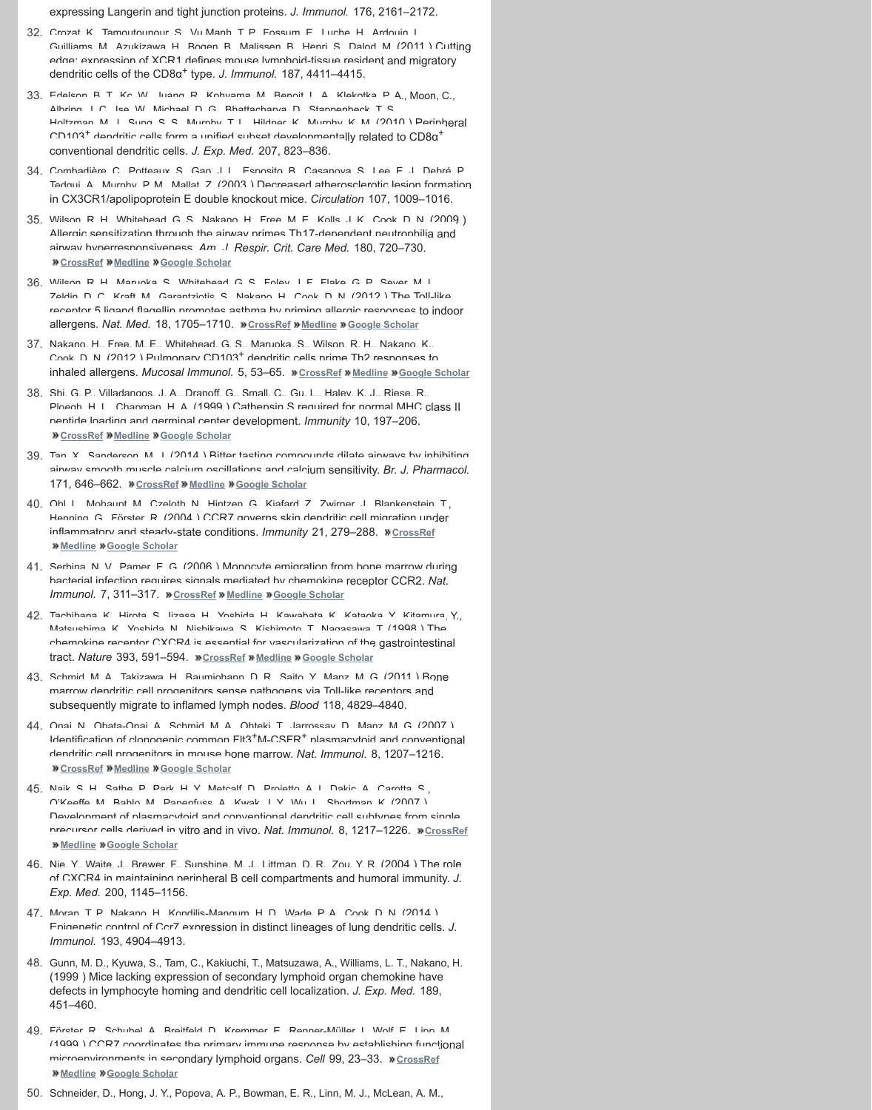- peptide loading and germinal center development. *Immunity* 10, 197–206. *M* CrossRef **Medline M** Google Scholar
- 39. Tan, Y. Sanderson, M. I. (2014.) Ritter tasting compounds dilate airways by inhibiting airway smooth muscle calcium oscillations and calcium sensitivity. *Br. J. Pharmacol.* 171, 646-662. **»** CrossRef **»** Medline » Google Scholar
- 40. Ohl I. Mohaunt M. Czeloth N. Hintzen G. Kiafard Z. Zwirner, I. Blankenstein, T., Henning, G., Förster, R. (2004.) CCR7 governs skin dendritic cell migration under inflammatory and steady-state conditions. *Immunity* 21, 279-288. **»** CrossRef **Medline Google Scholar**
- 41. Serbina, N. V., Pamer, E. G. (2006.) Monocyte emigration from bone marrow during bacterial infection requires signals mediated by chemokine receptor CCR2. *Nat. Immunol.* 7, 311–317. **»** CrossRef **»** Medline » Google Scholar
- 42. Tachihana K., Hirota, S., Iizaca, H., Vochida, H., Kawahata, K., Kataoka, V., Kitamura, Y., Mateuchima K. Vochida N. Nichikawa, S., Kichimoto, T. Nagasawa, T. (1998 ) The chemokine receptor CXCR4 is essential for vascularization of the gastrointestinal tract. Nature 393, 591–594. *CrossRef* **Medline Coogle Scholar**
- 43. Schmid M. [A., Takiza](http://www.jleukbio.org.ezproxy.library.tufts.edu/external-ref?access_num=19661246&link_type=MED)wa, H., Baumiohann, D. R., Saito, Y., Manz, M. G. (2011) Bone marrow dendritic cell progenitors sense pathogens via Toll-like receptors and subsequently migrate to inflamed lymph nodes. *Blood* 118, 4829–4840.
- 44. Onai, N., Obata-Onai, A., Schmid, M. A., Ohteki, T., Jarrossay, D., Manz, M. G. (2007.). Identification of clonogenic common F[lt3+M-CSF](http://www.jleukbio.org.ezproxy.library.tufts.edu/external-ref?access_num=10.1038/nm.2920&link_type=DOI)[R+ plasm](http://www.jleukbio.org.ezproxy.library.tufts.edu/external-ref?access_num=23064463&link_type=MED)[acytoid and con](http://scholar.google.com.ezproxy.library.tufts.edu/scholar_lookup?title=The%20Toll-like%20receptor%205%20ligand%20flagellin%20promotes%20asthma%20by%20priming%20allergic%20responses%20to%20indoor%20allergens.&author=R.%20H.%20Wilson&author=S.%20Maruoka&author=G.%20S.%20Whitehead&author=J.%20F.%20Foley&author=G.%20P.%20Flake&author=M.%20L.%20Sever&author=D.%20C.%20Zeldin&author=M.%20Kraft&author=S.%20Garantziotis&author=H.%20Nakano&author=D.%20N.%20Cook&publication_year=2012&journal=Nat.%20Med.&volume=18&pages=1705-1710)ventional dendritic cell progenitors in mouse bone marrow. *Nat. Immunol.* 8, 1207–1216. *M* CrossRef **Medline M** Google Scholar
- 45. Naik S. H., Sathe, D. Dark, H. Y. Metcalf, D. Droietto, A. I. Da[kic, A., Ca](http://www.jleukbio.org.ezproxy.library.tufts.edu/external-ref?access_num=22012243&link_type=MED)[rotta, S.,](http://scholar.google.com.ezproxy.library.tufts.edu/scholar_lookup?title=Pulmonary%20CD103%2B%20dendritic%20cells%20prime%20Th2%20responses%20to%20inhaled%20allergens.&author=H.%20Nakano&author=M.%20E.%20Free&author=G.%20S.%20Whitehead&author=S.%20Maruoka&author=R.%20H.%20Wilson&author=K.%20Nakano&author=D.%20N.%20Cook&publication_year=2012&journal=Mucosal%20Immunol.&volume=5&pages=53-65) O'Keeffe, M., Bahlo, M., Papenfuss, A., Kwak, J. Y., Wu, L., Shortman, K. (2007 ) Development of plasmacytoid and conventional dendritic cell subtypes from single precursor cells derived in vitro and in vivo. Nat. Immunol. 8, 1217-1226. »CrossRef *Medline Moogle* **Scholar**
- 46. [Nie, Y., Wai](http://www.jleukbio.org.ezproxy.library.tufts.edu/external-ref?access_num=10.1016/S1074-7613(00)80020-5&link_type=DOI)t[e, J., Bre](http://www.jleukbio.org.ezproxy.library.tufts.edu/external-ref?access_num=10072072&link_type=MED)[wer, F., Sunshine,](http://scholar.google.com.ezproxy.library.tufts.edu/scholar_lookup?title=Cathepsin%20S%20required%20for%20normal%20MHC%20class%20II%20peptide%20loading%20and%20germinal%20center%20development.&author=G.%20P.%20Shi&author=J.%20A.%20Villadangos&author=G.%20Dranoff&author=C.%20Small&author=L.%20Gu&author=K.%20J.%20Haley&author=R.%20Riese&author=H.%20L.%20Ploegh&author=H.%20A.%20Chapman&publication_year=1999&journal=Immunity&volume=10&pages=197-206) M. J., Littman, D. R., Zou, Y. R. (2004) The role of CXCR4 in maintaining peripheral B cell compartments and humoral immunity. *J. Exp. Med.* 200, 1145–1156.
- 47. Moran, T. P., Na[kano, H., Ko](http://www.jleukbio.org.ezproxy.library.tufts.edu/external-ref?access_num=10.1111/bph.12460&link_type=DOI)[ndilis-Man](http://www.jleukbio.org.ezproxy.library.tufts.edu/external-ref?access_num=24117140&link_type=MED)[gum, H. D., Wade](http://scholar.google.com.ezproxy.library.tufts.edu/scholar_lookup?title=Bitter%20tasting%20compounds%20dilate%20airways%20by%20inhibiting%20airway%20smooth%20muscle%20calcium%20oscillations%20and%20calcium%20sensitivity.&author=X.%20Tan&author=M.%20J.%20Sanderson&publication_year=2014&journal=Br.%20J.%20Pharmacol.&volume=171&pages=646-662), P. A., Cook, D. N. (2014) Enigenetic control of Ccr7 expression in distinct lineages of lung dendritic cells. *J. Immunol.* 193, 4904–4913.
- 48. [Gunn, M.](http://www.jleukbio.org.ezproxy.library.tufts.edu/external-ref?access_num=15308107&link_type=MED) [D., Kyuwa, S., Tam](http://scholar.google.com.ezproxy.library.tufts.edu/scholar_lookup?title=CCR7%20governs%20skin%20dendritic%20cell%20migration%20under%20inflammatory%20and%20steady-state%20conditions.&author=L.%20Ohl&author=M.%20Mohaupt&author=N.%20Czeloth&author=G.%20Hintzen&author=Z.%20Kiafard&author=J.%20Zwirner&author=T.%20Blankenstein&author=G.%20Henning&author=R.%20F%C3%B6rster&publication_year=2004&journal=Immunity&volume=21&pages=279-288), C., Kakiuchi, T., Matsuzawa, A., Williams, L. T., Nakano, H. (1999 ) Mice lacking expression of secondary lymphoid organ chemokine have defects in lymphocyte homing and dendritic cell localization. *J. Exp. Med.* 189, 451–460.
- 49. Företar D. Schubal A. Rraitfald D. Krammar E. Dannar-Müllar I. Wolf E. Linn M. (1000) CCR7 coordinates the primary immune response by establishing functional microenvironments in secondary lymphoid organs. Cell 99, 23-33. **»** CrossRef **Medline Google Scholar**
- 50. Schneider, D., Hong, J. Y., Popova, A. P., Bowman, E. R., Linn, M. J., McLean, A. M.,